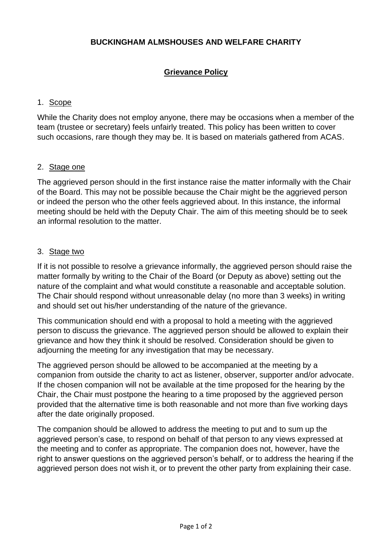# **BUCKINGHAM ALMSHOUSES AND WELFARE CHARITY**

# **Grievance Policy**

#### 1. Scope

While the Charity does not employ anyone, there may be occasions when a member of the team (trustee or secretary) feels unfairly treated. This policy has been written to cover such occasions, rare though they may be. It is based on materials gathered from ACAS.

#### 2. Stage one

The aggrieved person should in the first instance raise the matter informally with the Chair of the Board. This may not be possible because the Chair might be the aggrieved person or indeed the person who the other feels aggrieved about. In this instance, the informal meeting should be held with the Deputy Chair. The aim of this meeting should be to seek an informal resolution to the matter.

#### 3. Stage two

If it is not possible to resolve a grievance informally, the aggrieved person should raise the matter formally by writing to the Chair of the Board (or Deputy as above) setting out the nature of the complaint and what would constitute a reasonable and acceptable solution. The Chair should respond without unreasonable delay (no more than 3 weeks) in writing and should set out his/her understanding of the nature of the grievance.

This communication should end with a proposal to hold a meeting with the aggrieved person to discuss the grievance. The aggrieved person should be allowed to explain their grievance and how they think it should be resolved. Consideration should be given to adjourning the meeting for any investigation that may be necessary.

The aggrieved person should be allowed to be accompanied at the meeting by a companion from outside the charity to act as listener, observer, supporter and/or advocate. If the chosen companion will not be available at the time proposed for the hearing by the Chair, the Chair must postpone the hearing to a time proposed by the aggrieved person provided that the alternative time is both reasonable and not more than five working days after the date originally proposed.

The companion should be allowed to address the meeting to put and to sum up the aggrieved person's case, to respond on behalf of that person to any views expressed at the meeting and to confer as appropriate. The companion does not, however, have the right to answer questions on the aggrieved person's behalf, or to address the hearing if the aggrieved person does not wish it, or to prevent the other party from explaining their case.